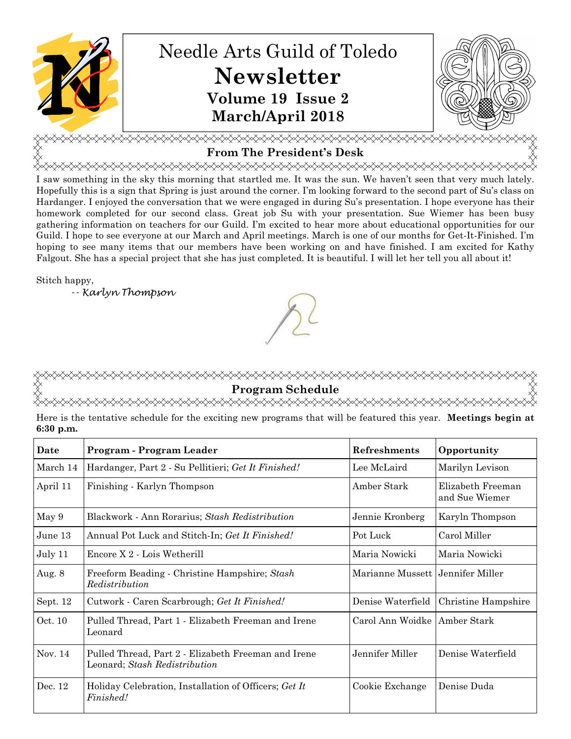

## **From The President's Desk**

<del></del> I saw something in the sky this morning that startled me. It was the sun. We haven't seen that very much lately. Hopefully this is a sign that Spring is just around the corner. I'm looking forward to the second part of Su's class on Hardanger. I enjoyed the conversation that we were engaged in during Su's presentation. I hope everyone has their homework completed for our second class. Great job Su with your presentation. Sue Wiemer has been busy gathering information on teachers for our Guild. I'm excited to hear more about educational opportunities for our Guild. I hope to see everyone at our March and April meetings. March is one of our months for Get-It-Finished. I'm hoping to see many items that our members have been working on and have finished. I am excited for Kathy Falgout. She has a special project that she has just completed. It is beautiful. I will let her tell you all about it!

Stitch happy,

-- Karlyn Thompson

# **Program Schedule**

Here is the tentative schedule for the exciting new programs that will be featured this year. **Meetings begin at 6:30 p.m.**

| Date      | Program - Program Leader                                                             | Refreshments                       | Opportunity                         |
|-----------|--------------------------------------------------------------------------------------|------------------------------------|-------------------------------------|
| March 14  | Hardanger, Part 2 - Su Pellitieri; Get It Finished!                                  | Lee McLaird                        | Marilyn Levison                     |
| April 11  | Finishing - Karlyn Thompson                                                          | Amber Stark                        | Elizabeth Freeman<br>and Sue Wiemer |
| May 9     | Blackwork - Ann Rorarius; Stash Redistribution                                       | Jennie Kronberg                    | Karyln Thompson                     |
| June 13   | Annual Pot Luck and Stitch-In; Get It Finished!                                      | Pot Luck                           | Carol Miller                        |
| July 11   | Encore $X_2$ - Lois Wetherill                                                        | Maria Nowicki                      | Maria Nowicki                       |
| Aug. 8    | Freeform Beading - Christine Hampshire; Stash<br>Redistribution                      | Marianne Mussett   Jennifer Miller |                                     |
| Sept. 12  | Cutwork - Caren Scarbrough; Get It Finished!                                         | Denise Waterfield                  | Christine Hampshire                 |
| Oct. 10   | Pulled Thread, Part 1 - Elizabeth Freeman and Irene<br>Leonard                       | Carol Ann Woidke   Amber Stark     |                                     |
| Nov. $14$ | Pulled Thread, Part 2 - Elizabeth Freeman and Irene<br>Leonard; Stash Redistribution | Jennifer Miller                    | Denise Waterfield                   |
| Dec. 12   | Holiday Celebration, Installation of Officers; Get It<br>Finished!                   | Cookie Exchange                    | Denise Duda                         |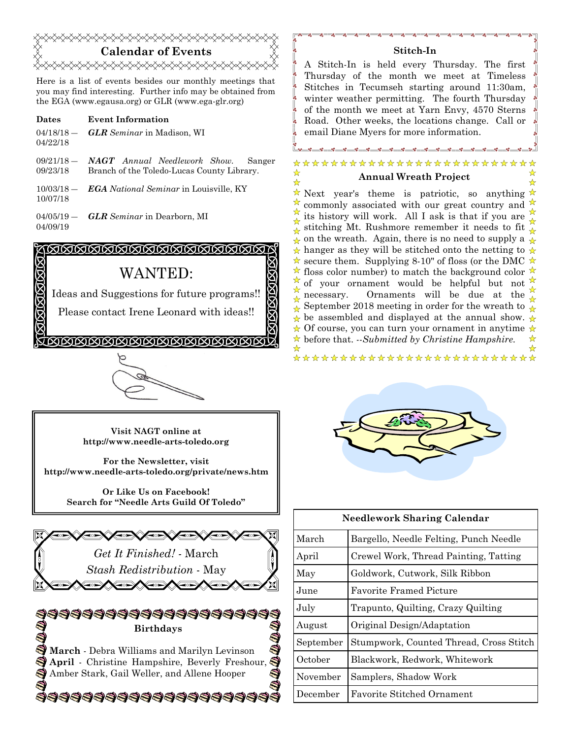## **Calendar of Events**  <del></del>

Here is a list of events besides our monthly meetings that you may find interesting. Further info may be obtained from the EGA (www.egausa.org) or GLR (www.ega-glr.org)

- **Dates Event Information**   $04/18/18$  — 04/22/18 *GLR Seminar* in Madison, WI
- $09/21/18$  09/23/18 *NAGT Annual Needlework Show.* Sanger Branch of the Toledo-Lucas County Library.
- 10/03/18 ― 10/07/18 *EGA National Seminar* in Louisville, KY
- $04/05/19 -$ 04/09/19 *GLR Seminar* in Dearborn, MI

#### <u> KAMAMAMAMAMAMAMA S</u> ÍÇ

## WANTED:

Ideas and Suggestions for future programs!!

Please contact Irene Leonard with ideas!!

**TAAAAAAAAAAAAAAAAAAAA** 



**Visit NAGT online at http://www.needle-arts-toledo.org** 

**For the Newsletter, visit http://www.needle-arts-toledo.org/private/news.htm** 

**Or Like Us on Facebook! Search for "Needle Arts Guild Of Toledo"** 



333333333333333333

#### **Stitch-In**

A Stitch-In is held every Thursday. The first Thursday of the month we meet at Timeless Stitches in Tecumseh starting around 11:30am, winter weather permitting. The fourth Thursday of the month we meet at Yarn Envy, 4570 Sterns Road. Other weeks, the locations change. Call or email Diane Myers for more information.

#### \*\*\*\*\*\*\*\*\*\*\*\*\*\*\*\*\*\*\*\*\*\*\*\* ☆ **Annual Wreath Project**  ☆

 $\star$  Next year's theme is patriotic, so anything  $\star$ ☆ commonly associated with our great country and its history will work. All I ask is that if you are ☆ stitching Mt. Rushmore remember it needs to fit  $\frac{N}{N}$  $\frac{1}{\mathbf{A}}$  on the wreath. Again, there is no need to supply a  $\frac{1}{\mathbf{A}}$  $\star$  hanger as they will be stitched onto the netting to  $\star$  $\star$  secure them. Supplying 8-10" of floss (or the DMC  $\star$  $\star$  floss color number) to match the background color  $\star$ of your ornament would be helpful but not ☆ necessary. Ornaments will be due at the ☆ September 2018 meeting in order for the wreath to  $\frac{1}{\mathbf{A}}$  $\star$  be assembled and displayed at the annual show.  $\star$  $\star$  Of course, you can turn your ornament in anytime  $\star$ before that. *--Submitted by Christine Hampshire.*♣ ↛ \*\*\*\*\*\*\*\*\*\*\*\*\*\*\*\*\*\*\*\*\*\*\*\*\*\*



| <b>Needlework Sharing Calendar</b> |                                         |  |  |
|------------------------------------|-----------------------------------------|--|--|
| March                              | Bargello, Needle Felting, Punch Needle  |  |  |
| April                              | Crewel Work, Thread Painting, Tatting   |  |  |
| May                                | Goldwork, Cutwork, Silk Ribbon          |  |  |
| June                               | <b>Favorite Framed Picture</b>          |  |  |
| July                               | Trapunto, Quilting, Crazy Quilting      |  |  |
| August                             | Original Design/Adaptation              |  |  |
| September                          | Stumpwork, Counted Thread, Cross Stitch |  |  |
| October                            | Blackwork, Redwork, Whitework           |  |  |
| November                           | Samplers, Shadow Work                   |  |  |
| December                           | <b>Favorite Stitched Ornament</b>       |  |  |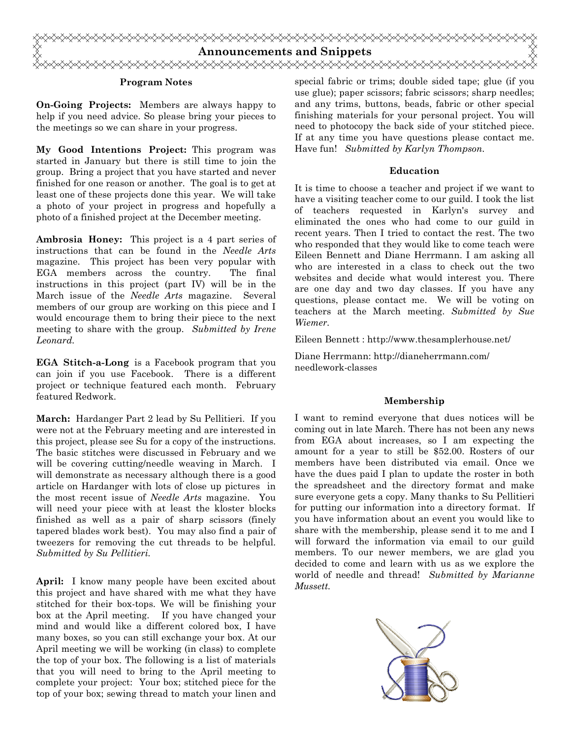

#### **Program Notes**

**On-Going Projects:** Members are always happy to help if you need advice. So please bring your pieces to the meetings so we can share in your progress.

**My Good Intentions Project:** This program was started in January but there is still time to join the group. Bring a project that you have started and never finished for one reason or another. The goal is to get at least one of these projects done this year. We will take a photo of your project in progress and hopefully a photo of a finished project at the December meeting.

**Ambrosia Honey:** This project is a 4 part series of instructions that can be found in the *Needle Arts*  magazine. This project has been very popular with EGA members across the country. The final instructions in this project (part IV) will be in the March issue of the *Needle Arts* magazine. Several members of our group are working on this piece and I would encourage them to bring their piece to the next meeting to share with the group. *Submitted by Irene Leonard.* 

**EGA Stitch-a-Long** is a Facebook program that you can join if you use Facebook. There is a different project or technique featured each month. February featured Redwork.

**March:** Hardanger Part 2 lead by Su Pellitieri. If you were not at the February meeting and are interested in this project, please see Su for a copy of the instructions. The basic stitches were discussed in February and we will be covering cutting/needle weaving in March. I will demonstrate as necessary although there is a good article on Hardanger with lots of close up pictures in the most recent issue of *Needle Arts* magazine. You will need your piece with at least the kloster blocks finished as well as a pair of sharp scissors (finely tapered blades work best). You may also find a pair of tweezers for removing the cut threads to be helpful. *Submitted by Su Pellitieri.*

**April:** I know many people have been excited about this project and have shared with me what they have stitched for their box-tops. We will be finishing your box at the April meeting. If you have changed your mind and would like a different colored box, I have many boxes, so you can still exchange your box. At our April meeting we will be working (in class) to complete the top of your box. The following is a list of materials that you will need to bring to the April meeting to complete your project: Your box; stitched piece for the top of your box; sewing thread to match your linen and

special fabric or trims; double sided tape; glue (if you use glue); paper scissors; fabric scissors; sharp needles; and any trims, buttons, beads, fabric or other special finishing materials for your personal project. You will need to photocopy the back side of your stitched piece. If at any time you have questions please contact me. Have fun! *Submitted by Karlyn Thompson.*

#### **Education**

It is time to choose a teacher and project if we want to have a visiting teacher come to our guild. I took the list of teachers requested in Karlyn's survey and eliminated the ones who had come to our guild in recent years. Then I tried to contact the rest. The two who responded that they would like to come teach were Eileen Bennett and Diane Herrmann. I am asking all who are interested in a class to check out the two websites and decide what would interest you. There are one day and two day classes. If you have any questions, please contact me. We will be voting on teachers at the March meeting. *Submitted by Sue Wiemer.*

Eileen Bennett : http://www.thesamplerhouse.net/

Diane Herrmann: http://dianeherrmann.com/ needlework-classes

#### **Membership**

I want to remind everyone that dues notices will be coming out in late March. There has not been any news from EGA about increases, so I am expecting the amount for a year to still be \$52.00. Rosters of our members have been distributed via email. Once we have the dues paid I plan to update the roster in both the spreadsheet and the directory format and make sure everyone gets a copy. Many thanks to Su Pellitieri for putting our information into a directory format. If you have information about an event you would like to share with the membership, please send it to me and I will forward the information via email to our guild members. To our newer members, we are glad you decided to come and learn with us as we explore the world of needle and thread! *Submitted by Marianne Mussett.*

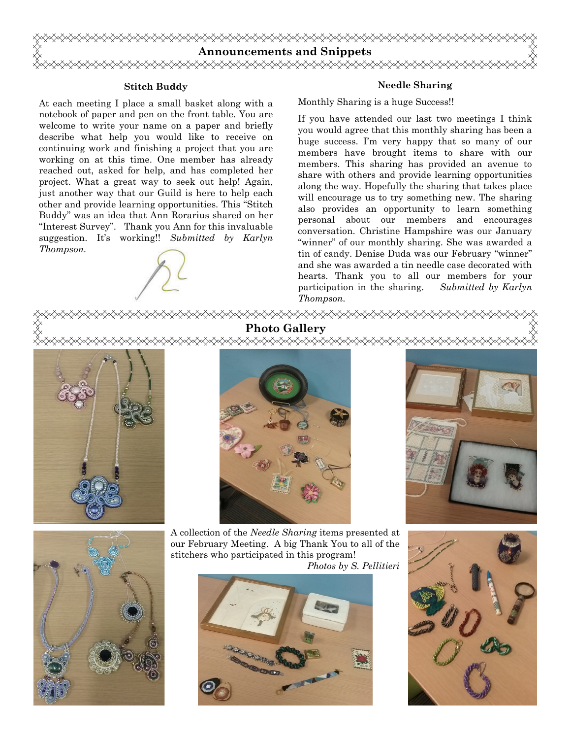

#### **Stitch Buddy**

At each meeting I place a small basket along with a notebook of paper and pen on the front table. You are welcome to write your name on a paper and briefly describe what help you would like to receive on continuing work and finishing a project that you are working on at this time. One member has already reached out, asked for help, and has completed her project. What a great way to seek out help! Again, just another way that our Guild is here to help each other and provide learning opportunities. This "Stitch Buddy" was an idea that Ann Rorarius shared on her "Interest Survey". Thank you Ann for this invaluable suggestion. It's working!! *Submitted by Karlyn Thompson.*

#### **Needle Sharing**

Monthly Sharing is a huge Success!!

If you have attended our last two meetings I think you would agree that this monthly sharing has been a huge success. I'm very happy that so many of our members have brought items to share with our members. This sharing has provided an avenue to share with others and provide learning opportunities along the way. Hopefully the sharing that takes place will encourage us to try something new. The sharing also provides an opportunity to learn something personal about our members and encourages conversation. Christine Hampshire was our January "winner" of our monthly sharing. She was awarded a tin of candy. Denise Duda was our February "winner" and she was awarded a tin needle case decorated with hearts. Thank you to all our members for your participation in the sharing. *Submitted by Karlyn Thompson.*

<del></del> **Photo Gallery** 

<del></del>









A collection of the *Needle Sharing* items presented at our February Meeting. A big Thank You to all of the stitchers who participated in this program! *Photos by S. Pellitieri* 



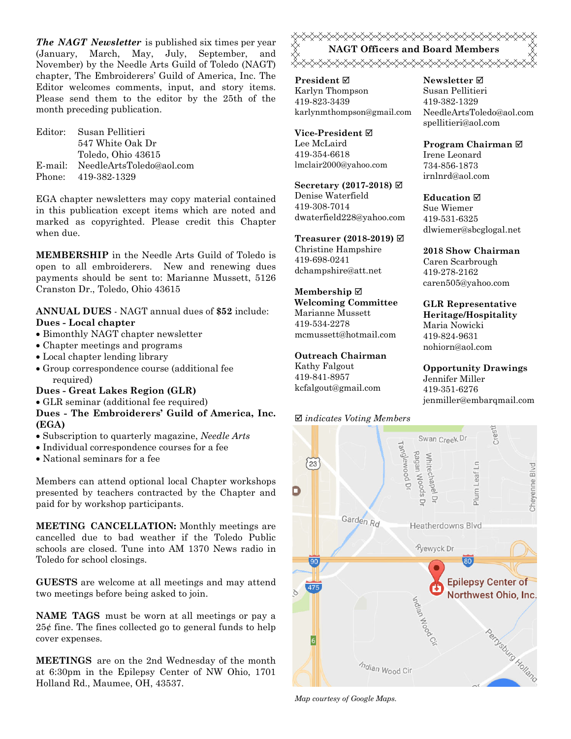*The NAGT Newsletter* is published six times per year (January, March, May, July, September, and November) by the Needle Arts Guild of Toledo (NAGT) chapter, The Embroiderers' Guild of America, Inc. The Editor welcomes comments, input, and story items. Please send them to the editor by the 25th of the month preceding publication.

Editor: Susan Pellitieri 547 White Oak Dr Toledo, Ohio 43615 E-mail: NeedleArtsToledo@aol.com Phone: 419-382-1329

EGA chapter newsletters may copy material contained in this publication except items which are noted and marked as copyrighted. Please credit this Chapter when due.

**MEMBERSHIP** in the Needle Arts Guild of Toledo is open to all embroiderers. New and renewing dues payments should be sent to: Marianne Mussett, 5126 Cranston Dr., Toledo, Ohio 43615

#### **ANNUAL DUES** - NAGT annual dues of **\$52** include: **Dues - Local chapter**

- Bimonthly NAGT chapter newsletter
- Chapter meetings and programs
- Local chapter lending library
- Group correspondence course (additional fee required)

#### **Dues - Great Lakes Region (GLR)**

GLR seminar (additional fee required)

#### **Dues - The Embroiderers' Guild of America, Inc. (EGA)**

- Subscription to quarterly magazine, *Needle Arts*
- Individual correspondence courses for a fee
- National seminars for a fee

Members can attend optional local Chapter workshops presented by teachers contracted by the Chapter and paid for by workshop participants.

**MEETING CANCELLATION:** Monthly meetings are cancelled due to bad weather if the Toledo Public schools are closed. Tune into AM 1370 News radio in Toledo for school closings.

**GUESTS** are welcome at all meetings and may attend two meetings before being asked to join.

**NAME TAGS** must be worn at all meetings or pay a 25¢ fine. The fines collected go to general funds to help cover expenses.

**MEETINGS** are on the 2nd Wednesday of the month at 6:30pm in the Epilepsy Center of NW Ohio, 1701 Holland Rd., Maumee, OH, 43537.



**President** Karlyn Thompson 419-823-3439 karlynmthompson@gmail.com

**Vice-President** Lee McLaird 419-354-6618 lmclair2000@yahoo.com

**Secretary (2017-2018)**  Denise Waterfield 419-308-7014 dwaterfield228@yahoo.com

**Treasurer (2018-2019)** 

Christine Hampshire 419-698-0241 dchampshire@att.net

**Membership Welcoming Committee**  Marianne Mussett 419-534-2278

mcmussett@hotmail.com

#### **Outreach Chairman**

Kathy Falgout 419-841-8957 kcfalgout@gmail.com

#### *indicates Voting Members*



*Map courtesy of Google Maps.* 

**Newsletter**  Susan Pellitieri 419-382-1329 NeedleArtsToledo@aol.com spellitieri@aol.com

**Program Chairman**  Irene Leonard 734-856-1873 irnlnrd@aol.com

**Education**  Sue Wiemer 419-531-6325 dlwiemer@sbcglogal.net

**2018 Show Chairman**  Caren Scarbrough 419-278-2162 caren505@yahoo.com

**GLR Representative Heritage/Hospitality**  Maria Nowicki 419-824-9631 nohiorn@aol.com

**Opportunity Drawings** Jennifer Miller 419-351-6276 jenmiller@embarqmail.com